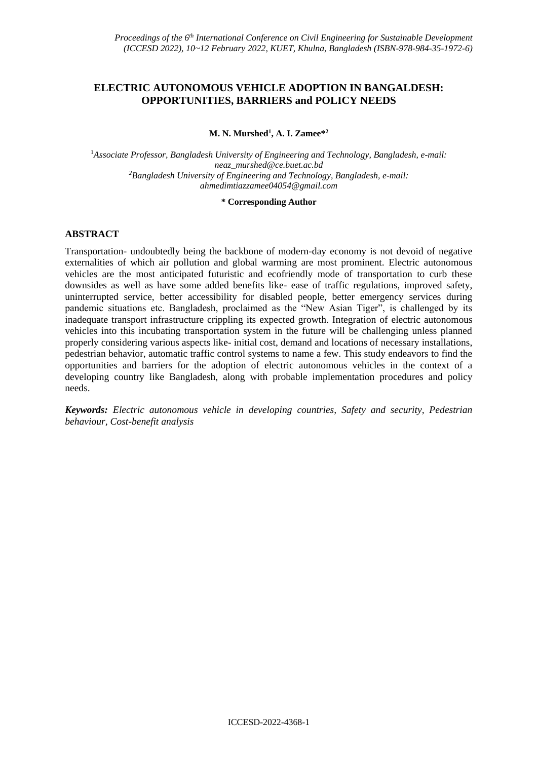# **ELECTRIC AUTONOMOUS VEHICLE ADOPTION IN BANGALDESH: OPPORTUNITIES, BARRIERS and POLICY NEEDS**

## **M. N. Murshed<sup>1</sup> , A. I. Zamee\*<sup>2</sup>**

<sup>1</sup>*Associate Professor, Bangladesh University of Engineering and Technology, Bangladesh, e-mail: neaz\_murshed@ce.buet.ac.bd <sup>2</sup>Bangladesh University of Engineering and Technology, Bangladesh, e-mail: ahmedimtiazzamee04054@gmail.com*

#### **\* Corresponding Author**

# **ABSTRACT**

Transportation- undoubtedly being the backbone of modern-day economy is not devoid of negative externalities of which air pollution and global warming are most prominent. Electric autonomous vehicles are the most anticipated futuristic and ecofriendly mode of transportation to curb these downsides as well as have some added benefits like- ease of traffic regulations, improved safety, uninterrupted service, better accessibility for disabled people, better emergency services during pandemic situations etc. Bangladesh, proclaimed as the "New Asian Tiger", is challenged by its inadequate transport infrastructure crippling its expected growth. Integration of electric autonomous vehicles into this incubating transportation system in the future will be challenging unless planned properly considering various aspects like- initial cost, demand and locations of necessary installations, pedestrian behavior, automatic traffic control systems to name a few. This study endeavors to find the opportunities and barriers for the adoption of electric autonomous vehicles in the context of a developing country like Bangladesh, along with probable implementation procedures and policy needs.

*Keywords: Electric autonomous vehicle in developing countries, Safety and security, Pedestrian behaviour, Cost-benefit analysis*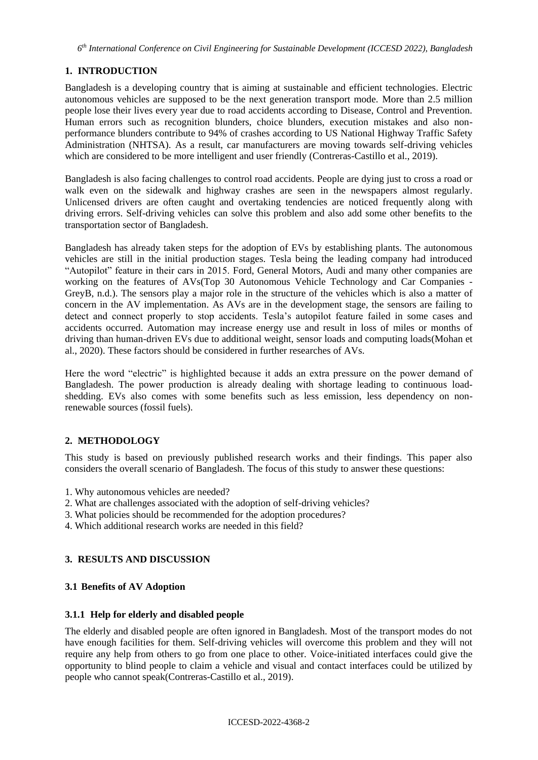# **1. INTRODUCTION**

Bangladesh is a developing country that is aiming at sustainable and efficient technologies. Electric autonomous vehicles are supposed to be the next generation transport mode. More than 2.5 million people lose their lives every year due to road accidents according to Disease, Control and Prevention. Human errors such as recognition blunders, choice blunders, execution mistakes and also nonperformance blunders contribute to 94% of crashes according to US National Highway Traffic Safety Administration (NHTSA). As a result, car manufacturers are moving towards self-driving vehicles which are considered to be more intelligent and user friendly (Contreras-Castillo et al., 2019).

Bangladesh is also facing challenges to control road accidents. People are dying just to cross a road or walk even on the sidewalk and highway crashes are seen in the newspapers almost regularly. Unlicensed drivers are often caught and overtaking tendencies are noticed frequently along with driving errors. Self-driving vehicles can solve this problem and also add some other benefits to the transportation sector of Bangladesh.

Bangladesh has already taken steps for the adoption of EVs by establishing plants. The autonomous vehicles are still in the initial production stages. Tesla being the leading company had introduced "Autopilot" feature in their cars in 2015. Ford, General Motors, Audi and many other companies are working on the features of AVs(Top 30 Autonomous Vehicle Technology and Car Companies - GreyB, n.d.). The sensors play a major role in the structure of the vehicles which is also a matter of concern in the AV implementation. As AVs are in the development stage, the sensors are failing to detect and connect properly to stop accidents. Tesla's autopilot feature failed in some cases and accidents occurred. Automation may increase energy use and result in loss of miles or months of driving than human-driven EVs due to additional weight, sensor loads and computing loads(Mohan et al., 2020). These factors should be considered in further researches of AVs.

Here the word "electric" is highlighted because it adds an extra pressure on the power demand of Bangladesh. The power production is already dealing with shortage leading to continuous loadshedding. EVs also comes with some benefits such as less emission, less dependency on nonrenewable sources (fossil fuels).

# **2. METHODOLOGY**

This study is based on previously published research works and their findings. This paper also considers the overall scenario of Bangladesh. The focus of this study to answer these questions:

- 1. Why autonomous vehicles are needed?
- 2. What are challenges associated with the adoption of self-driving vehicles?
- 3. What policies should be recommended for the adoption procedures?
- 4. Which additional research works are needed in this field?

# **3. RESULTS AND DISCUSSION**

# **3.1 Benefits of AV Adoption**

## **3.1.1 Help for elderly and disabled people**

The elderly and disabled people are often ignored in Bangladesh. Most of the transport modes do not have enough facilities for them. Self-driving vehicles will overcome this problem and they will not require any help from others to go from one place to other. Voice-initiated interfaces could give the opportunity to blind people to claim a vehicle and visual and contact interfaces could be utilized by people who cannot speak(Contreras-Castillo et al., 2019).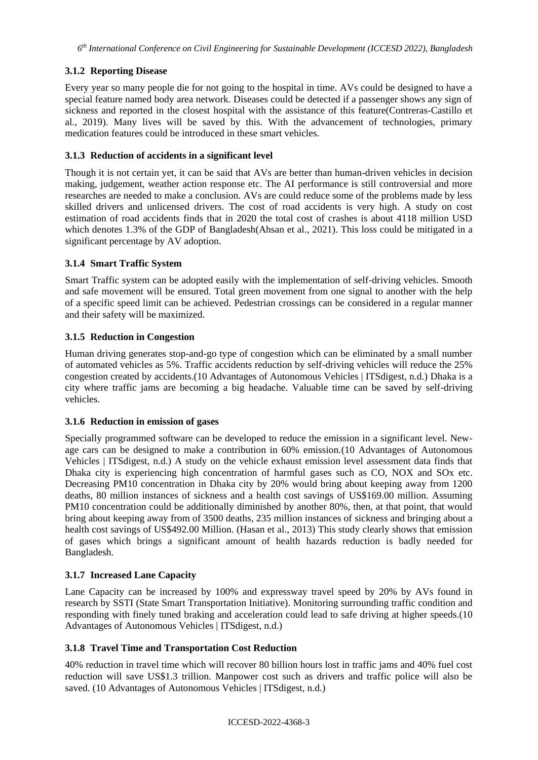# **3.1.2 Reporting Disease**

Every year so many people die for not going to the hospital in time. AVs could be designed to have a special feature named body area network. Diseases could be detected if a passenger shows any sign of sickness and reported in the closest hospital with the assistance of this feature(Contreras-Castillo et al., 2019). Many lives will be saved by this. With the advancement of technologies, primary medication features could be introduced in these smart vehicles.

## **3.1.3 Reduction of accidents in a significant level**

Though it is not certain yet, it can be said that AVs are better than human-driven vehicles in decision making, judgement, weather action response etc. The AI performance is still controversial and more researches are needed to make a conclusion. AVs are could reduce some of the problems made by less skilled drivers and unlicensed drivers. The cost of road accidents is very high. A study on cost estimation of road accidents finds that in 2020 the total cost of crashes is about 4118 million USD which denotes 1.3% of the GDP of Bangladesh(Ahsan et al., 2021). This loss could be mitigated in a significant percentage by AV adoption.

## **3.1.4 Smart Traffic System**

Smart Traffic system can be adopted easily with the implementation of self-driving vehicles. Smooth and safe movement will be ensured. Total green movement from one signal to another with the help of a specific speed limit can be achieved. Pedestrian crossings can be considered in a regular manner and their safety will be maximized.

## **3.1.5 Reduction in Congestion**

Human driving generates stop-and-go type of congestion which can be eliminated by a small number of automated vehicles as 5%. Traffic accidents reduction by self-driving vehicles will reduce the 25% congestion created by accidents.(10 Advantages of Autonomous Vehicles | ITSdigest, n.d.) Dhaka is a city where traffic jams are becoming a big headache. Valuable time can be saved by self-driving vehicles.

## **3.1.6 Reduction in emission of gases**

Specially programmed software can be developed to reduce the emission in a significant level. Newage cars can be designed to make a contribution in 60% emission.(10 Advantages of Autonomous Vehicles | ITSdigest, n.d.) A study on the vehicle exhaust emission level assessment data finds that Dhaka city is experiencing high concentration of harmful gases such as CO, NOX and SOx etc. Decreasing PM10 concentration in Dhaka city by 20% would bring about keeping away from 1200 deaths, 80 million instances of sickness and a health cost savings of US\$169.00 million. Assuming PM10 concentration could be additionally diminished by another 80%, then, at that point, that would bring about keeping away from of 3500 deaths, 235 million instances of sickness and bringing about a health cost savings of US\$492.00 Million. (Hasan et al., 2013) This study clearly shows that emission of gases which brings a significant amount of health hazards reduction is badly needed for Bangladesh.

## **3.1.7 Increased Lane Capacity**

Lane Capacity can be increased by 100% and expressway travel speed by 20% by AVs found in research by SSTI (State Smart Transportation Initiative). Monitoring surrounding traffic condition and responding with finely tuned braking and acceleration could lead to safe driving at higher speeds.(10 Advantages of Autonomous Vehicles | ITSdigest, n.d.)

## **3.1.8 Travel Time and Transportation Cost Reduction**

40% reduction in travel time which will recover 80 billion hours lost in traffic jams and 40% fuel cost reduction will save US\$1.3 trillion. Manpower cost such as drivers and traffic police will also be saved. (10 Advantages of Autonomous Vehicles | ITSdigest, n.d.)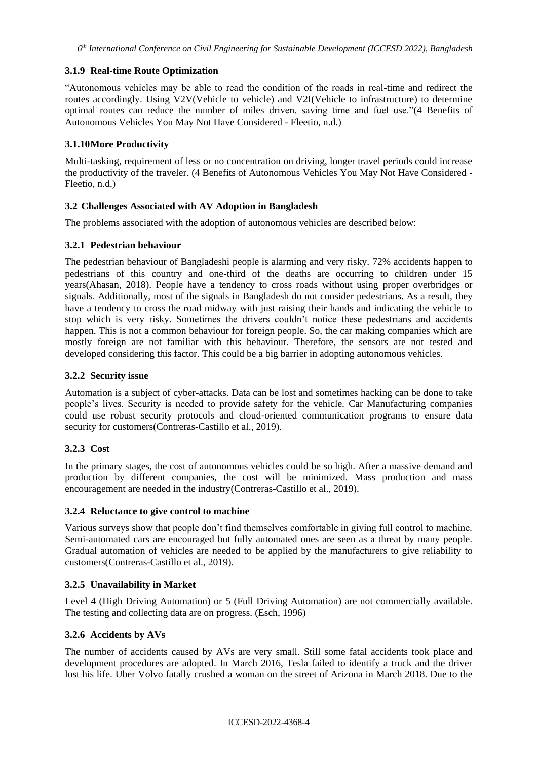## **3.1.9 Real-time Route Optimization**

"Autonomous vehicles may be able to read the condition of the roads in real-time and redirect the routes accordingly. Using V2V(Vehicle to vehicle) and V2I(Vehicle to infrastructure) to determine optimal routes can reduce the number of miles driven, saving time and fuel use."(4 Benefits of Autonomous Vehicles You May Not Have Considered - Fleetio, n.d.)

## **3.1.10More Productivity**

Multi-tasking, requirement of less or no concentration on driving, longer travel periods could increase the productivity of the traveler. (4 Benefits of Autonomous Vehicles You May Not Have Considered - Fleetio, n.d.)

## **3.2 Challenges Associated with AV Adoption in Bangladesh**

The problems associated with the adoption of autonomous vehicles are described below:

## **3.2.1 Pedestrian behaviour**

The pedestrian behaviour of Bangladeshi people is alarming and very risky. 72% accidents happen to pedestrians of this country and one-third of the deaths are occurring to children under 15 years(Ahasan, 2018). People have a tendency to cross roads without using proper overbridges or signals. Additionally, most of the signals in Bangladesh do not consider pedestrians. As a result, they have a tendency to cross the road midway with just raising their hands and indicating the vehicle to stop which is very risky. Sometimes the drivers couldn't notice these pedestrians and accidents happen. This is not a common behaviour for foreign people. So, the car making companies which are mostly foreign are not familiar with this behaviour. Therefore, the sensors are not tested and developed considering this factor. This could be a big barrier in adopting autonomous vehicles.

## **3.2.2 Security issue**

Automation is a subject of cyber-attacks. Data can be lost and sometimes hacking can be done to take people's lives. Security is needed to provide safety for the vehicle. Car Manufacturing companies could use robust security protocols and cloud-oriented communication programs to ensure data security for customers(Contreras-Castillo et al., 2019).

## **3.2.3 Cost**

In the primary stages, the cost of autonomous vehicles could be so high. After a massive demand and production by different companies, the cost will be minimized. Mass production and mass encouragement are needed in the industry(Contreras-Castillo et al., 2019).

## **3.2.4 Reluctance to give control to machine**

Various surveys show that people don't find themselves comfortable in giving full control to machine. Semi-automated cars are encouraged but fully automated ones are seen as a threat by many people. Gradual automation of vehicles are needed to be applied by the manufacturers to give reliability to customers(Contreras-Castillo et al., 2019).

## **3.2.5 Unavailability in Market**

Level 4 (High Driving Automation) or 5 (Full Driving Automation) are not commercially available. The testing and collecting data are on progress. (Esch, 1996)

## **3.2.6 Accidents by AVs**

The number of accidents caused by AVs are very small. Still some fatal accidents took place and development procedures are adopted. In March 2016, Tesla failed to identify a truck and the driver lost his life. Uber Volvo fatally crushed a woman on the street of Arizona in March 2018. Due to the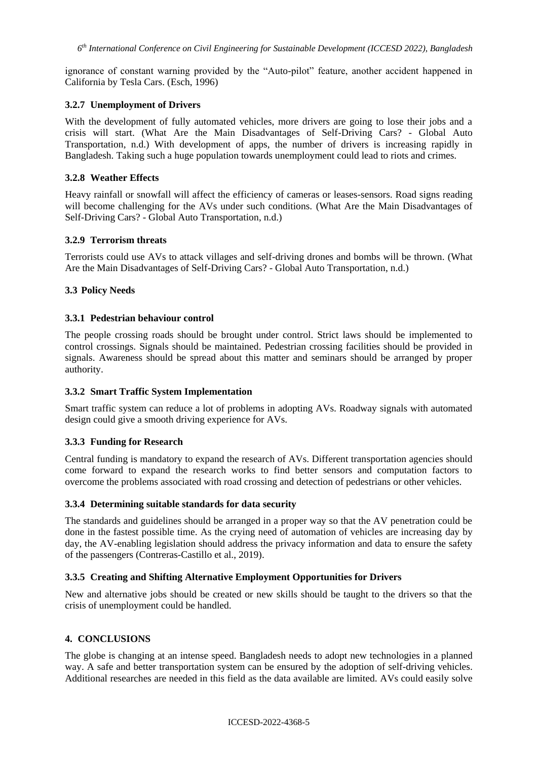ignorance of constant warning provided by the "Auto-pilot" feature, another accident happened in California by Tesla Cars. (Esch, 1996)

## **3.2.7 Unemployment of Drivers**

With the development of fully automated vehicles, more drivers are going to lose their jobs and a crisis will start. (What Are the Main Disadvantages of Self-Driving Cars? - Global Auto Transportation, n.d.) With development of apps, the number of drivers is increasing rapidly in Bangladesh. Taking such a huge population towards unemployment could lead to riots and crimes.

#### **3.2.8 Weather Effects**

Heavy rainfall or snowfall will affect the efficiency of cameras or leases-sensors. Road signs reading will become challenging for the AVs under such conditions. (What Are the Main Disadvantages of Self-Driving Cars? - Global Auto Transportation, n.d.)

#### **3.2.9 Terrorism threats**

Terrorists could use AVs to attack villages and self-driving drones and bombs will be thrown. (What Are the Main Disadvantages of Self-Driving Cars? - Global Auto Transportation, n.d.)

#### **3.3 Policy Needs**

#### **3.3.1 Pedestrian behaviour control**

The people crossing roads should be brought under control. Strict laws should be implemented to control crossings. Signals should be maintained. Pedestrian crossing facilities should be provided in signals. Awareness should be spread about this matter and seminars should be arranged by proper authority.

## **3.3.2 Smart Traffic System Implementation**

Smart traffic system can reduce a lot of problems in adopting AVs. Roadway signals with automated design could give a smooth driving experience for AVs.

#### **3.3.3 Funding for Research**

Central funding is mandatory to expand the research of AVs. Different transportation agencies should come forward to expand the research works to find better sensors and computation factors to overcome the problems associated with road crossing and detection of pedestrians or other vehicles.

#### **3.3.4 Determining suitable standards for data security**

The standards and guidelines should be arranged in a proper way so that the AV penetration could be done in the fastest possible time. As the crying need of automation of vehicles are increasing day by day, the AV-enabling legislation should address the privacy information and data to ensure the safety of the passengers (Contreras-Castillo et al., 2019).

#### **3.3.5 Creating and Shifting Alternative Employment Opportunities for Drivers**

New and alternative jobs should be created or new skills should be taught to the drivers so that the crisis of unemployment could be handled.

## **4. CONCLUSIONS**

The globe is changing at an intense speed. Bangladesh needs to adopt new technologies in a planned way. A safe and better transportation system can be ensured by the adoption of self-driving vehicles. Additional researches are needed in this field as the data available are limited. AVs could easily solve